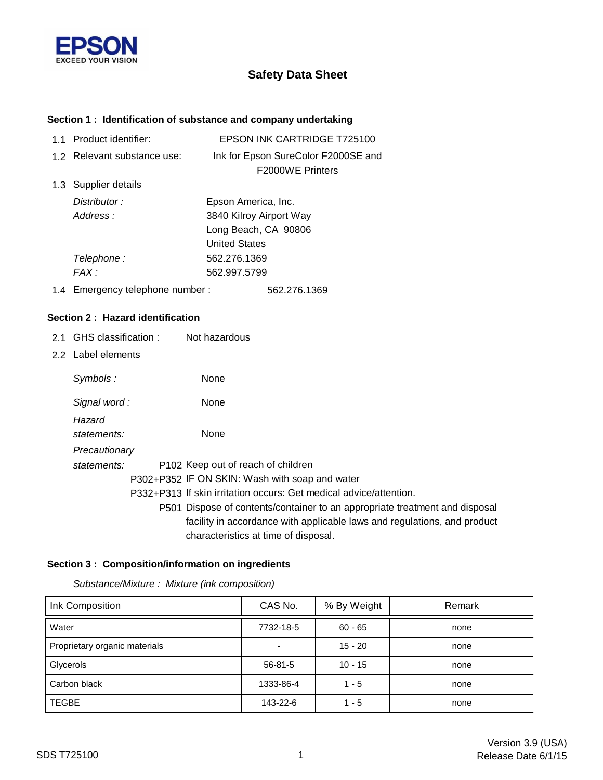

# **Safety Data Sheet**

### **Section 1 : Identification of substance and company undertaking**

| $11$ | Product identifier:         | <b>EPSON INK CARTRIDGE T725100</b>                             |
|------|-----------------------------|----------------------------------------------------------------|
|      | 1.2 Relevant substance use: | Ink for Epson SureColor F2000SE and<br><b>F2000WE Printers</b> |
|      | 1.3 Supplier details        |                                                                |
|      | Distributor:                | Epson America, Inc.                                            |
|      | Address:                    | 3840 Kilroy Airport Way                                        |
|      |                             | Long Beach, CA 90806                                           |
|      |                             | <b>United States</b>                                           |
|      | Telephone :                 | 562.276.1369                                                   |
|      | $FAX \cdot$                 | 562.997.5799                                                   |
|      |                             |                                                                |

1.4 562.276.1369 Emergency telephone number :

#### **Section 2 : Hazard identification**

- 2.1 GHS classification : Not hazardous
- 2.2 Label elements

| Symbols:      | None                                                                        |
|---------------|-----------------------------------------------------------------------------|
| Signal word:  | None                                                                        |
| Hazard        |                                                                             |
| statements:   | None                                                                        |
| Precautionary |                                                                             |
| statements:   | P <sub>102</sub> Keep out of reach of children                              |
|               | P302+P352 IF ON SKIN: Wash with soap and water                              |
|               | P332+P313 If skin irritation occurs: Get medical advice/attention.          |
|               | P501 Dispose of contents/container to an appropriate treatment and disposal |
|               | facility in accordance with applicable laws and regulations, and product    |
|               | characteristics at time of disposal.                                        |

### **Section 3 : Composition/information on ingredients**

*Substance/Mixture : Mixture (ink composition)*

| Ink Composition               | CAS No.       | % By Weight | Remark |
|-------------------------------|---------------|-------------|--------|
| Water                         | 7732-18-5     | $60 - 65$   | none   |
| Proprietary organic materials |               | $15 - 20$   | none   |
| Glycerols                     | $56 - 81 - 5$ | $10 - 15$   | none   |
| Carbon black                  | 1333-86-4     | $1 - 5$     | none   |
| <b>TEGBE</b>                  | 143-22-6      | $1 - 5$     | none   |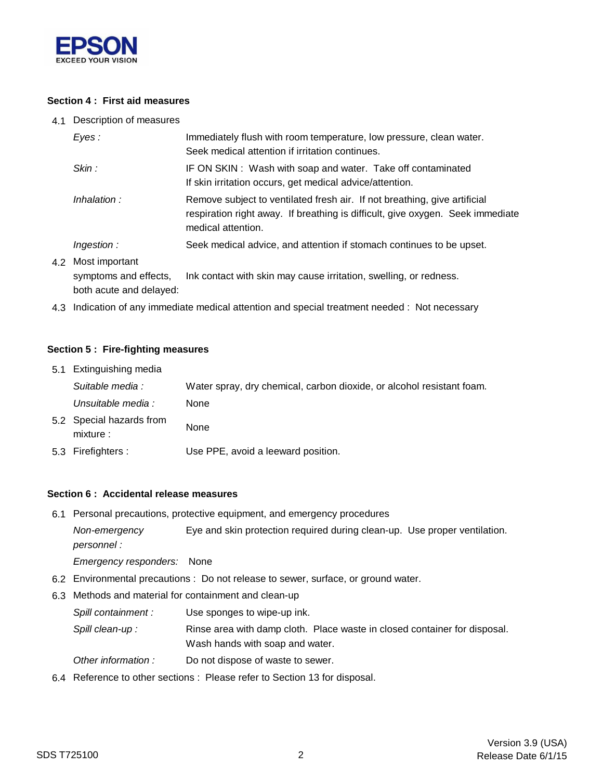

### **Section 4 : First aid measures**

4.1 Description of measures

| Eves :                                      | Immediately flush with room temperature, low pressure, clean water.<br>Seek medical attention if irritation continues.                                                            |  |
|---------------------------------------------|-----------------------------------------------------------------------------------------------------------------------------------------------------------------------------------|--|
| Skin:                                       | IF ON SKIN: Wash with soap and water. Take off contaminated<br>If skin irritation occurs, get medical advice/attention.                                                           |  |
| Inhalation:                                 | Remove subject to ventilated fresh air. If not breathing, give artificial<br>respiration right away. If breathing is difficult, give oxygen. Seek immediate<br>medical attention. |  |
| <i>Ingestion :</i>                          | Seek medical advice, and attention if stomach continues to be upset.                                                                                                              |  |
| 4.2 Most important<br>symptoms and effects, | Ink contact with skin may cause irritation, swelling, or redness.                                                                                                                 |  |

both acute and delayed:

4.3 Indication of any immediate medical attention and special treatment needed : Not necessary

#### **Section 5 : Fire-fighting measures**

| 5.1 Extinguishing media               |                                                                       |
|---------------------------------------|-----------------------------------------------------------------------|
| Suitable media :                      | Water spray, dry chemical, carbon dioxide, or alcohol resistant foam. |
| Unsuitable media :                    | None                                                                  |
| 5.2 Special hazards from<br>mixture : | None                                                                  |
| 5.3 Firefighters :                    | Use PPE, avoid a leeward position.                                    |

#### **Section 6 : Accidental release measures**

6.1 Personal precautions, protective equipment, and emergency procedures

*personnel : Non-emergency* Eye and skin protection required during clean-up. Use proper ventilation.

*Emergency responders:* None

- 6.2 Environmental precautions : Do not release to sewer, surface, or ground water.
- 6.3 Methods and material for containment and clean-up
	- *Spill containment :* Use sponges to wipe-up ink.

Wash hands with soap and water. Spill clean-up : Rinse area with damp cloth. Place waste in closed container for disposal.

- *Other information :* Do not dispose of waste to sewer.
- 6.4 Reference to other sections : Please refer to Section 13 for disposal.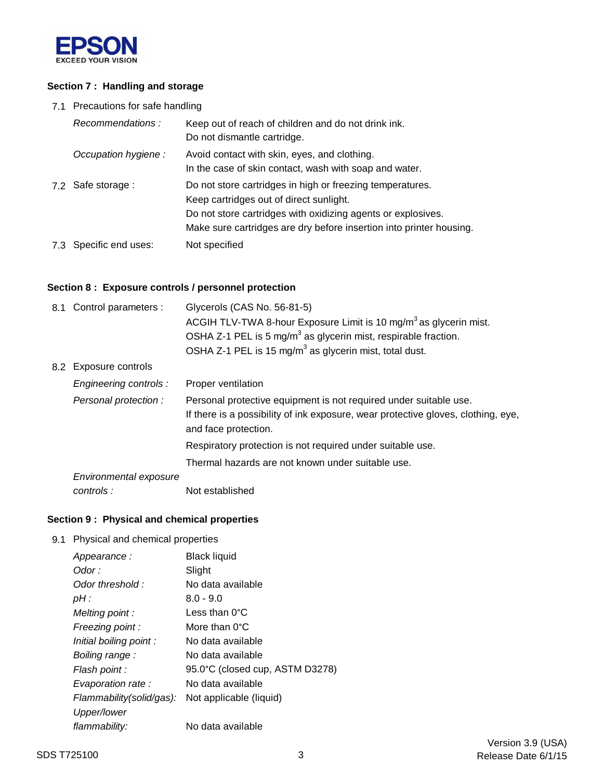

### **Section 7 : Handling and storage**

7.1 Precautions for safe handling

| Recommendations:       | Keep out of reach of children and do not drink ink.<br>Do not dismantle cartridge.                                                                                                                                                          |
|------------------------|---------------------------------------------------------------------------------------------------------------------------------------------------------------------------------------------------------------------------------------------|
| Occupation hygiene:    | Avoid contact with skin, eyes, and clothing.<br>In the case of skin contact, wash with soap and water.                                                                                                                                      |
| 7.2 Safe storage :     | Do not store cartridges in high or freezing temperatures.<br>Keep cartridges out of direct sunlight.<br>Do not store cartridges with oxidizing agents or explosives.<br>Make sure cartridges are dry before insertion into printer housing. |
| 7.3 Specific end uses: | Not specified                                                                                                                                                                                                                               |

## **Section 8 : Exposure controls / personnel protection**

| 8.1 Control parameters : | Glycerols (CAS No. 56-81-5)<br>ACGIH TLV-TWA 8-hour Exposure Limit is 10 mg/m <sup>3</sup> as glycerin mist.<br>OSHA Z-1 PEL is 5 mg/m <sup>3</sup> as glycerin mist, respirable fraction.<br>OSHA Z-1 PEL is 15 mg/m <sup>3</sup> as glycerin mist, total dust. |  |
|--------------------------|------------------------------------------------------------------------------------------------------------------------------------------------------------------------------------------------------------------------------------------------------------------|--|
| 8.2 Exposure controls    |                                                                                                                                                                                                                                                                  |  |
| Engineering controls :   | Proper ventilation                                                                                                                                                                                                                                               |  |
| Personal protection:     | Personal protective equipment is not required under suitable use.<br>If there is a possibility of ink exposure, wear protective gloves, clothing, eye,<br>and face protection.                                                                                   |  |
|                          | Respiratory protection is not required under suitable use.                                                                                                                                                                                                       |  |
|                          | Thermal hazards are not known under suitable use.                                                                                                                                                                                                                |  |
| Environmental exposure   |                                                                                                                                                                                                                                                                  |  |
| controls:                | Not established                                                                                                                                                                                                                                                  |  |

## **Section 9 : Physical and chemical properties**

9.1 Physical and chemical properties

| Appearance:              | <b>Black liquid</b>             |
|--------------------------|---------------------------------|
| Odor :                   | Slight                          |
| Odor threshold:          | No data available               |
| $pH$ :                   | $8.0 - 9.0$                     |
| Melting point:           | Less than 0°C                   |
| Freezing point :         | More than 0°C                   |
| Initial boiling point :  | No data available               |
| Boiling range:           | No data available               |
| Flash point :            | 95.0°C (closed cup, ASTM D3278) |
| Evaporation rate:        | No data available               |
| Flammability(solid/gas): | Not applicable (liquid)         |
| Upper/lower              |                                 |
| flammability:            | No data available               |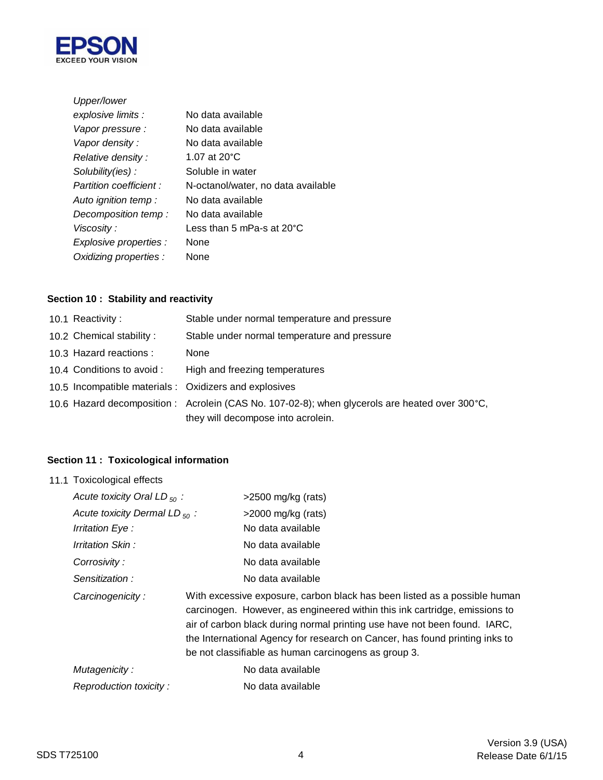

| Upper/lower             |                                      |
|-------------------------|--------------------------------------|
| explosive limits :      | No data available                    |
| Vapor pressure :        | No data available                    |
| Vapor density :         | No data available                    |
| Relative density:       | 1.07 at 20 °C                        |
| Solubility(ies):        | Soluble in water                     |
| Partition coefficient : | N-octanol/water, no data available   |
| Auto ignition temp:     | No data available                    |
| Decomposition temp:     | No data available                    |
| Viscosity:              | Less than 5 mPa-s at 20 $^{\circ}$ C |
| Explosive properties :  | <b>None</b>                          |
| Oxidizing properties :  | None                                 |

## **Section 10 : Stability and reactivity**

| 10.1 Reactivity:           | Stable under normal temperature and pressure                                                   |
|----------------------------|------------------------------------------------------------------------------------------------|
| 10.2 Chemical stability:   | Stable under normal temperature and pressure                                                   |
| 10.3 Hazard reactions :    | <b>None</b>                                                                                    |
| 10.4 Conditions to avoid : | High and freezing temperatures                                                                 |
|                            | 10.5 Incompatible materials : Oxidizers and explosives                                         |
|                            | 10.6 Hazard decomposition : Acrolein (CAS No. 107-02-8); when glycerols are heated over 300°C, |
|                            | they will decompose into acrolein.                                                             |

## **Section 11 : Toxicological information**

| 11.1 Toxicological effects         |  |                                                                                                                                                                                                                                                                                                                                                                             |
|------------------------------------|--|-----------------------------------------------------------------------------------------------------------------------------------------------------------------------------------------------------------------------------------------------------------------------------------------------------------------------------------------------------------------------------|
| Acute toxicity Oral LD $_{50}$ :   |  | $>2500$ mg/kg (rats)                                                                                                                                                                                                                                                                                                                                                        |
| Acute toxicity Dermal LD $_{50}$ : |  | $>$ 2000 mg/kg (rats)                                                                                                                                                                                                                                                                                                                                                       |
| Irritation Eye :                   |  | No data available                                                                                                                                                                                                                                                                                                                                                           |
| Irritation Skin:                   |  | No data available                                                                                                                                                                                                                                                                                                                                                           |
| Corrosivity:                       |  | No data available                                                                                                                                                                                                                                                                                                                                                           |
| Sensitization:                     |  | No data available                                                                                                                                                                                                                                                                                                                                                           |
| Carcinogenicity:                   |  | With excessive exposure, carbon black has been listed as a possible human<br>carcinogen. However, as engineered within this ink cartridge, emissions to<br>air of carbon black during normal printing use have not been found. IARC,<br>the International Agency for research on Cancer, has found printing inks to<br>be not classifiable as human carcinogens as group 3. |
| Mutagenicity:                      |  | No data available                                                                                                                                                                                                                                                                                                                                                           |
| Reproduction toxicity:             |  | No data available                                                                                                                                                                                                                                                                                                                                                           |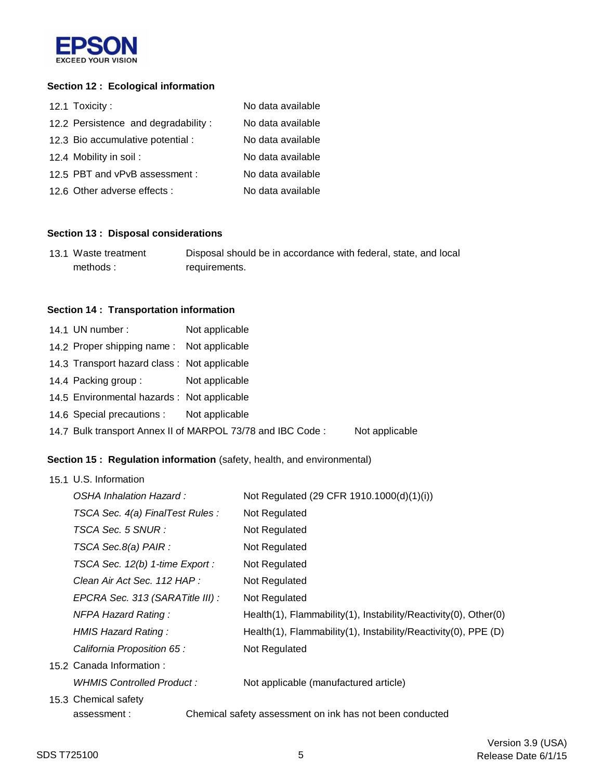

### **Section 12 : Ecological information**

| 12.1 Toxicity:                      | No data available |
|-------------------------------------|-------------------|
| 12.2 Persistence and degradability: | No data available |
| 12.3 Bio accumulative potential :   | No data available |
| 12.4 Mobility in soil:              | No data available |
| 12.5 PBT and vPvB assessment :      | No data available |
| 12.6 Other adverse effects :        | No data available |

## **Section 13 : Disposal considerations**

| 13.1 Waste treatment | Disposal should be in accordance with federal, state, and local |
|----------------------|-----------------------------------------------------------------|
| methods:             | requirements.                                                   |

#### **Section 14 : Transportation information**

| 14.1 UN number:                             | Not applicable                                             |                |
|---------------------------------------------|------------------------------------------------------------|----------------|
| 14.2 Proper shipping name: Not applicable   |                                                            |                |
| 14.3 Transport hazard class: Not applicable |                                                            |                |
| 14.4 Packing group:                         | Not applicable                                             |                |
| 14.5 Environmental hazards : Not applicable |                                                            |                |
| 14.6 Special precautions : Not applicable   |                                                            |                |
|                                             | 14.7 Bulk transport Annex II of MARPOL 73/78 and IBC Code: | Not applicable |

## **Section 15 : Regulation information** (safety, health, and environmental)

| 15.1 U.S. Information            |                                                                 |
|----------------------------------|-----------------------------------------------------------------|
| OSHA Inhalation Hazard:          | Not Regulated (29 CFR 1910.1000(d)(1)(i))                       |
| TSCA Sec. 4(a) FinalTest Rules : | Not Regulated                                                   |
| TSCA Sec. 5 SNUR :               | Not Regulated                                                   |
| TSCA Sec.8(a) PAIR :             | Not Regulated                                                   |
| TSCA Sec. 12(b) 1-time Export :  | Not Regulated                                                   |
| Clean Air Act Sec. 112 HAP :     | Not Regulated                                                   |
| EPCRA Sec. 313 (SARATitle III) : | Not Regulated                                                   |
| <b>NFPA Hazard Rating:</b>       | Health(1), Flammability(1), Instability/Reactivity(0), Other(0) |
| HMIS Hazard Rating:              | Health(1), Flammability(1), Instability/Reactivity(0), PPE (D)  |
| California Proposition 65 :      | Not Regulated                                                   |
| 15.2 Canada Information:         |                                                                 |
| WHMIS Controlled Product :       | Not applicable (manufactured article)                           |
| 15.3 Chemical safety             |                                                                 |
| assessment:                      | Chemical safety assessment on ink has not been conducted        |